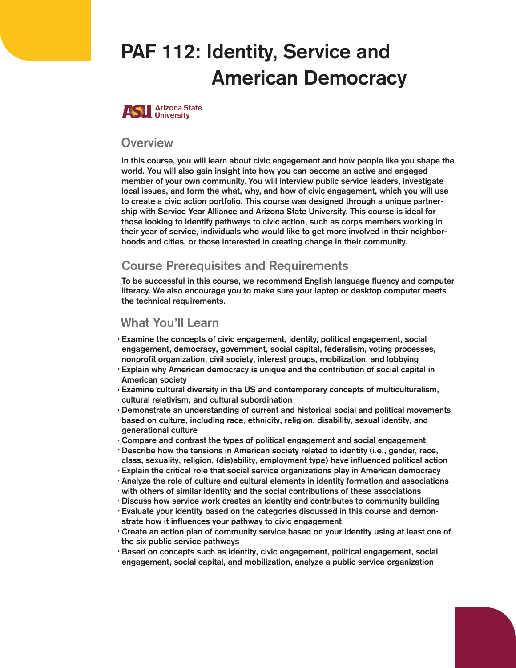# PAF 112: Identity, Service and American Democracy



#### **Overview**

In this course, you will learn about civic engagement and how people like you shape the world. You will also gain insight into how you can become an active and engaged member of your own community. You will interview public service leaders, investigate local issues, and form the what, why, and how of civic engagement, which you will use to create a civic action portfolio. This course was designed through a unique partnership with Service Year Alliance and Arizona State University. This course is ideal for those looking to identify pathways to civic action, such as corps members working in their year of service, individuals who would like to get more involved in their neighborhoods and cities, or those interested in creating change in their community.

## **Course Prerequisites and Requirements**

To be successful in this course, we recommend English language fluency and computer literacy. We also encourage you to make sure your laptop or desktop computer meets the technical requirements.

#### What You'll Learn

- · Examine the concepts of civic engagement, identity, political engagement, social engagement, democracy, government, social capital, federalism, voting processes, nonprofit organization, civil society, interest groups, mobilization, and lobbying
- Explain why American democracy is unique and the contribution of social capital in American society
- · Examine cultural diversity in the US and contemporary concepts of multiculturalism, cultural relativism, and cultural subordination
- Demonstrate an understanding of current and historical social and political movements based on culture, including race, ethnicity, religion, disability, sexual identity, and generational culture
- Compare and contrast the types of political engagement and social engagement •
- Describe how the tensions in American society related to identity (i.e., gender, race, class, sexuality, religion, (dis)ability, employment type) have influenced political action
- $\cdot$  Explain the critical role that social service organizations play in American democracy
- · Analyze the role of culture and cultural elements in identity formation and associations with others of similar identity and the social contributions of these associations
- $\cdot$  Discuss how service work creates an identity and contributes to community building
- $\cdot$  Evaluate your identity based on the categories discussed in this course and demonstrate how it influences your pathway to civic engagement
- $\cdot$  Create an action plan of community service based on your identity using at least one of the six public service pathways
- $\cdot$  Based on concepts such as identity, civic engagement, political engagement, social engagement, social capital, and mobilization, analyze a public service organization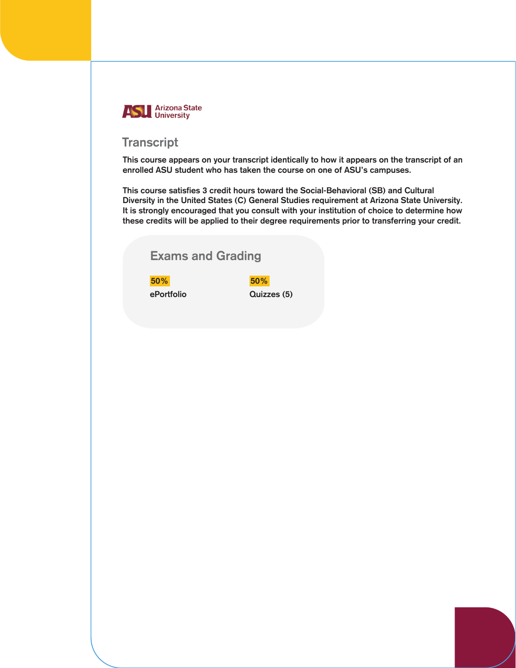

### **Transcript**

This course appears on your transcript identically to how it appears on the transcript of an enrolled ASU student who has taken the course on one of ASU's campuses.

This course satisfies 3 credit hours toward the Social-Behavioral (SB) and Cultural Diversity in the United States (C) General Studies requirement at Arizona State University. It is strongly encouraged that you consult with your institution of choice to determine how these credits will be applied to their degree requirements prior to transferring your credit.

## Exams and Grading

50% 50%

ePortfolio Quizzes (5)